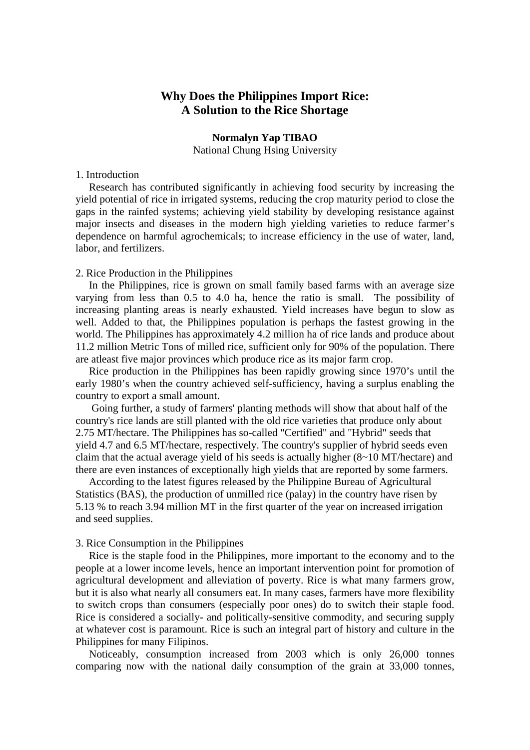# **Why Does the Philippines Import Rice: A Solution to the Rice Shortage**

## **Normalyn Yap TIBAO**

National Chung Hsing University

## 1. Introduction

 Research has contributed significantly in achieving food security by increasing the yield potential of rice in irrigated systems, reducing the crop maturity period to close the gaps in the rainfed systems; achieving yield stability by developing resistance against major insects and diseases in the modern high yielding varieties to reduce farmer's dependence on harmful agrochemicals; to increase efficiency in the use of water, land, labor, and fertilizers.

## 2. Rice Production in the Philippines

 In the Philippines, rice is grown on small family based farms with an average size varying from less than 0.5 to 4.0 ha, hence the ratio is small. The possibility of increasing planting areas is nearly exhausted. Yield increases have begun to slow as well. Added to that, the Philippines population is perhaps the fastest growing in the world. The Philippines has approximately 4.2 million ha of rice lands and produce about 11.2 million Metric Tons of milled rice, sufficient only for 90% of the population. There are atleast five major provinces which produce rice as its major farm crop.

 Rice production in the Philippines has been rapidly growing since 1970's until the early 1980's when the country achieved self-sufficiency, having a surplus enabling the country to export a small amount.

 Going further, a study of farmers' planting methods will show that about half of the country's rice lands are still planted with the old rice varieties that produce only about 2.75 MT/hectare. The Philippines has so-called "Certified" and "Hybrid" seeds that yield 4.7 and 6.5 MT/hectare, respectively. The country's supplier of hybrid seeds even claim that the actual average yield of his seeds is actually higher (8~10 MT/hectare) and there are even instances of exceptionally high yields that are reported by some farmers.

 According to the latest figures released by the Philippine Bureau of Agricultural Statistics (BAS), the production of unmilled rice (palay) in the country have risen by 5.13 % to reach 3.94 million MT in the first quarter of the year on increased irrigation and seed supplies.

## 3. Rice Consumption in the Philippines

 Rice is the staple food in the Philippines, more important to the economy and to the people at a lower income levels, hence an important intervention point for promotion of agricultural development and alleviation of poverty. Rice is what many farmers grow, but it is also what nearly all consumers eat. In many cases, farmers have more flexibility to switch crops than consumers (especially poor ones) do to switch their staple food. Rice is considered a socially- and politically-sensitive commodity, and securing supply at whatever cost is paramount. Rice is such an integral part of history and culture in the Philippines for many Filipinos.

 Noticeably, consumption increased from 2003 which is only 26,000 tonnes comparing now with the national daily consumption of the grain at 33,000 tonnes,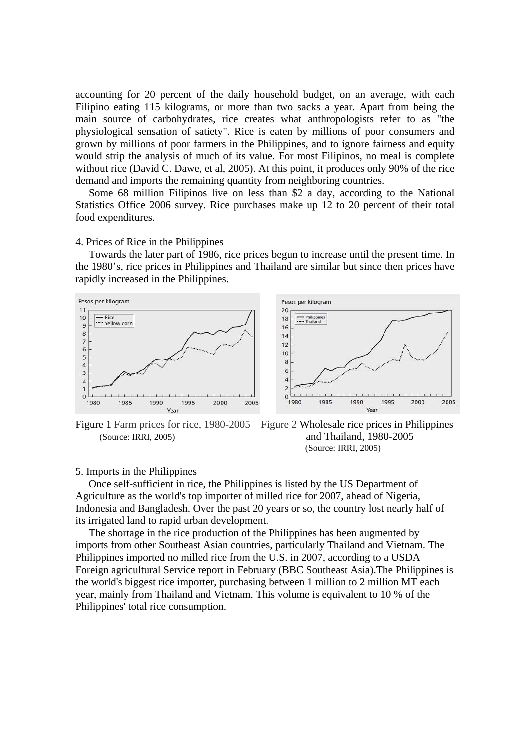accounting for 20 percent of the daily household budget, on an average, with each Filipino eating 115 kilograms, or more than two sacks a year. Apart from being the main source of carbohydrates, rice creates what anthropologists refer to as "the physiological sensation of satiety". Rice is eaten by millions of poor consumers and grown by millions of poor farmers in the Philippines, and to ignore fairness and equity would strip the analysis of much of its value. For most Filipinos, no meal is complete without rice (David C. Dawe, et al, 2005). At this point, it produces only 90% of the rice demand and imports the remaining quantity from neighboring countries.

 Some 68 million Filipinos live on less than \$2 a day, according to the National Statistics Office 2006 survey. Rice purchases make up 12 to 20 percent of their total food expenditures.

## 4. Prices of Rice in the Philippines

 Towards the later part of 1986, rice prices begun to increase until the present time. In the 1980's, rice prices in Philippines and Thailand are similar but since then prices have rapidly increased in the Philippines.





#### 5. Imports in the Philippines

 Once self-sufficient in rice, the Philippines is listed by the US Department of Agriculture as the world's top importer of milled rice for 2007, ahead of Nigeria, Indonesia and Bangladesh. Over the past 20 years or so, the country lost nearly half of its irrigated land to rapid urban development.

 The shortage in the rice production of the Philippines has been augmented by imports from other Southeast Asian countries, particularly Thailand and Vietnam. The Philippines imported no milled rice from the U.S. in 2007, according to a USDA Foreign agricultural Service report in February (BBC Southeast Asia).The Philippines is the world's biggest rice importer, purchasing between 1 million to 2 million MT each year, mainly from Thailand and Vietnam. This volume is equivalent to 10 % of the Philippines' total rice consumption.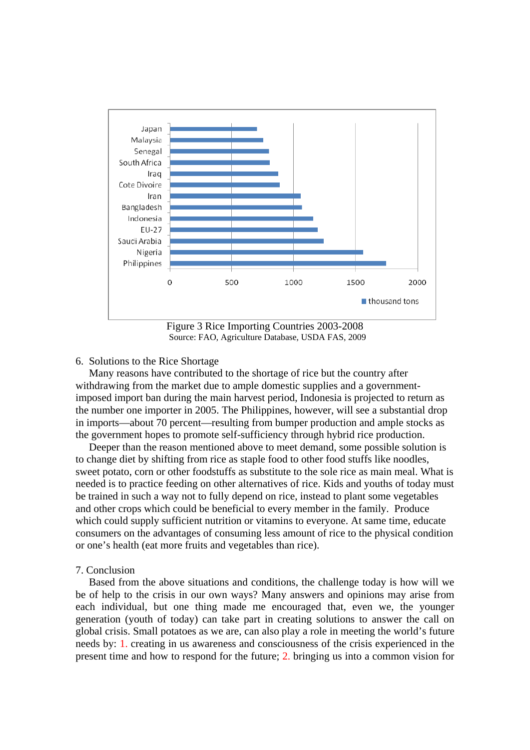

Figure 3 Rice Importing Countries 2003-2008 Source: FAO, Agriculture Database, USDA FAS, 2009

## 6. Solutions to the Rice Shortage

 Many reasons have contributed to the shortage of rice but the country after withdrawing from the market due to ample domestic supplies and a governmentimposed import ban during the main harvest period, Indonesia is projected to return as the number one importer in 2005. The Philippines, however, will see a substantial drop in imports—about 70 percent—resulting from bumper production and ample stocks as the government hopes to promote self-sufficiency through hybrid rice production.

 Deeper than the reason mentioned above to meet demand, some possible solution is to change diet by shifting from rice as staple food to other food stuffs like noodles, sweet potato, corn or other foodstuffs as substitute to the sole rice as main meal. What is needed is to practice feeding on other alternatives of rice. Kids and youths of today must be trained in such a way not to fully depend on rice, instead to plant some vegetables and other crops which could be beneficial to every member in the family. Produce which could supply sufficient nutrition or vitamins to everyone. At same time, educate consumers on the advantages of consuming less amount of rice to the physical condition or one's health (eat more fruits and vegetables than rice).

## 7. Conclusion

 Based from the above situations and conditions, the challenge today is how will we be of help to the crisis in our own ways? Many answers and opinions may arise from each individual, but one thing made me encouraged that, even we, the younger generation (youth of today) can take part in creating solutions to answer the call on global crisis. Small potatoes as we are, can also play a role in meeting the world's future needs by: 1. creating in us awareness and consciousness of the crisis experienced in the present time and how to respond for the future; 2. bringing us into a common vision for